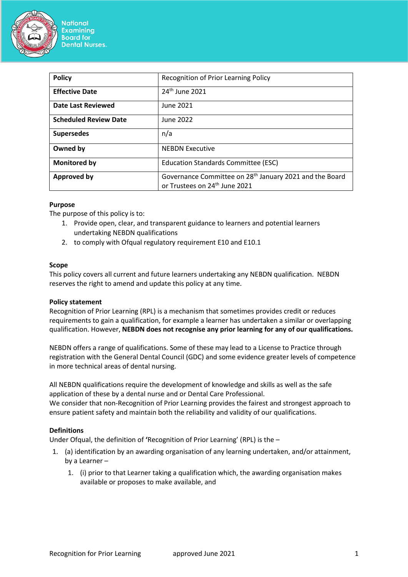

**National Examining Board for Dental Nurses.** 

| <b>Policy</b>                | Recognition of Prior Learning Policy                                                                             |
|------------------------------|------------------------------------------------------------------------------------------------------------------|
| <b>Effective Date</b>        | 24th June 2021                                                                                                   |
| <b>Date Last Reviewed</b>    | June 2021                                                                                                        |
| <b>Scheduled Review Date</b> | June 2022                                                                                                        |
| <b>Supersedes</b>            | n/a                                                                                                              |
| Owned by                     | <b>NEBDN Executive</b>                                                                                           |
| Monitored by                 | <b>Education Standards Committee (ESC)</b>                                                                       |
| <b>Approved by</b>           | Governance Committee on 28 <sup>th</sup> January 2021 and the Board<br>or Trustees on 24 <sup>th</sup> June 2021 |

# **Purpose**

The purpose of this policy is to:

- 1. Provide open, clear, and transparent guidance to learners and potential learners undertaking NEBDN qualifications
- 2. to comply with Ofqual regulatory requirement E10 and E10.1

## **Scope**

This policy covers all current and future learners undertaking any NEBDN qualification. NEBDN reserves the right to amend and update this policy at any time.

## **Policy statement**

Recognition of Prior Learning (RPL) is a mechanism that sometimes provides credit or reduces requirements to gain a qualification, for example a learner has undertaken a similar or overlapping qualification. However, **NEBDN does not recognise any prior learning for any of our qualifications.**

NEBDN offers a range of qualifications. Some of these may lead to a License to Practice through registration with the General Dental Council (GDC) and some evidence greater levels of competence in more technical areas of dental nursing.

All NEBDN qualifications require the development of knowledge and skills as well as the safe application of these by a dental nurse and or Dental Care Professional. We consider that non-Recognition of Prior Learning provides the fairest and strongest approach to ensure patient safety and maintain both the reliability and validity of our qualifications.

## **Definitions**

Under Ofqual, the definition of **'**Recognition of Prior Learning' (RPL) is the –

- 1. (a) identification by an awarding organisation of any learning undertaken, and/or attainment, by a Learner –
	- 1. (i) prior to that Learner taking a qualification which, the awarding organisation makes available or proposes to make available, and